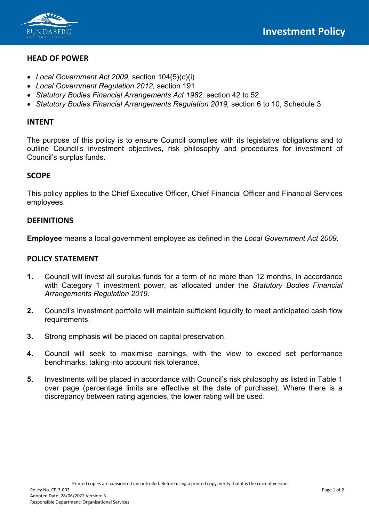

## **HEAD OF POWER**

- *Local Government Act 2009,* section 104(5)(c)(i)
- *Local Government Regulation 2012,* section 191
- *Statutory Bodies Financial Arrangements Act 1982,* section 42 to 52
- *Statutory Bodies Financial Arrangements Regulation 2019,* section 6 to 10, Schedule 3

## **INTENT**

The purpose of this policy is to ensure Council complies with its legislative obligations and to outline Council's investment objectives, risk philosophy and procedures for investment of Council's surplus funds.

# **SCOPE**

This policy applies to the Chief Executive Officer, Chief Financial Officer and Financial Services employees.

### **DEFINITIONS**

**Employee** means a local government employee as defined in the *Local Government Act 2009*.

## **POLICY STATEMENT**

- **1.** Council will invest all surplus funds for a term of no more than 12 months, in accordance with Category 1 investment power, as allocated under the *Statutory Bodies Financial Arrangements Regulation 2019*.
- **2.** Council's investment portfolio will maintain sufficient liquidity to meet anticipated cash flow requirements.
- **3.** Strong emphasis will be placed on capital preservation.
- **4.** Council will seek to maximise earnings, with the view to exceed set performance benchmarks, taking into account risk tolerance.
- **5.** Investments will be placed in accordance with Council's risk philosophy as listed in Table 1 over page (percentage limits are effective at the date of purchase). Where there is a discrepancy between rating agencies, the lower rating will be used.